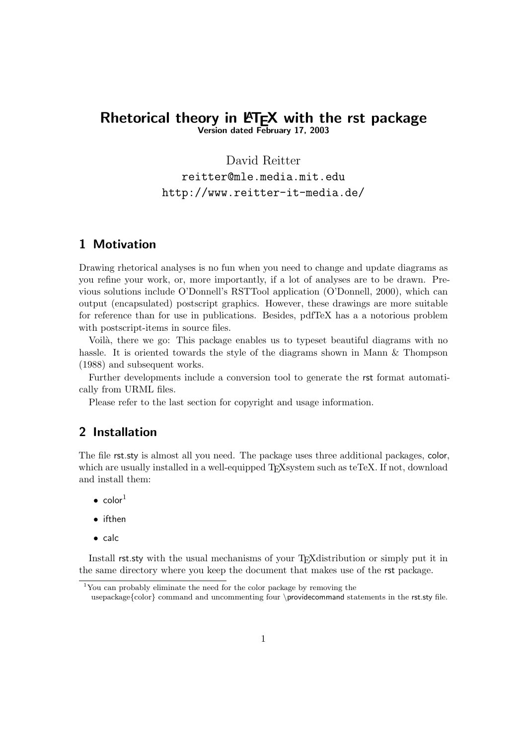## Rhetorical theory in  $\text{ETr}X$  with the rst package Version dated February 17, 2003

David Reitter

reitter@mle.media.mit.edu http://www.reitter-it-media.de/

# 1 Motivation

Drawing rhetorical analyses is no fun when you need to change and update diagrams as you refine your work, or, more importantly, if a lot of analyses are to be drawn. Previous solutions include O'Donnell's RSTTool application (O'Donnell, 2000), which can output (encapsulated) postscript graphics. However, these drawings are more suitable for reference than for use in publications. Besides, pdfTeX has a a notorious problem with postscript-items in source files.

Voilà, there we go: This package enables us to typeset beautiful diagrams with no hassle. It is oriented towards the style of the diagrams shown in Mann & Thompson (1988) and subsequent works.

Further developments include a conversion tool to generate the rst format automatically from URML files.

Please refer to the last section for copyright and usage information.

# 2 Installation

The file rst.sty is almost all you need. The package uses three additional packages, color, which are usually installed in a well-equipped T<sub>E</sub>Xsystem such as teTeX. If not, download and install them:

- $\bullet$  color<sup>1</sup>
- ifthen
- calc

Install rst.sty with the usual mechanisms of your T<sub>E</sub>X distribution or simply put it in the same directory where you keep the document that makes use of the rst package.

<sup>1</sup>You can probably eliminate the need for the color package by removing the usepackage{color} command and uncommenting four \providecommand statements in the rst.sty file.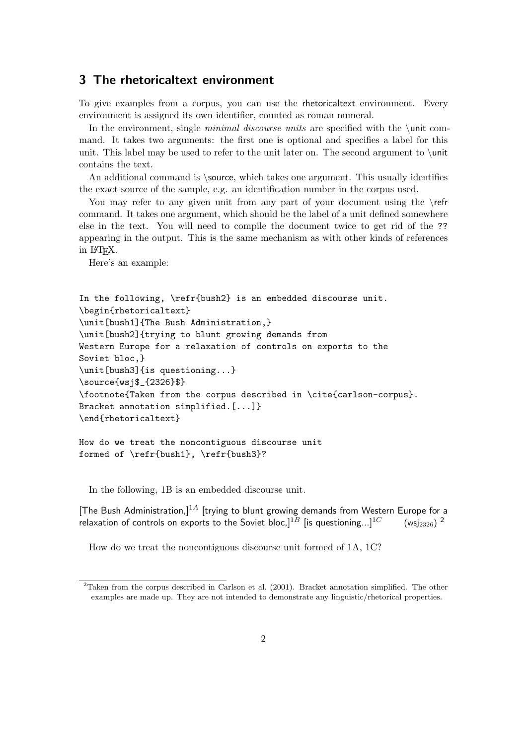## 3 The rhetoricaltext environment

To give examples from a corpus, you can use the rhetoricaltext environment. Every environment is assigned its own identifier, counted as roman numeral.

In the environment, single *minimal discourse units* are specified with the \unit command. It takes two arguments: the first one is optional and specifies a label for this unit. This label may be used to refer to the unit later on. The second argument to  $\cdot$ unit contains the text.

An additional command is \source, which takes one argument. This usually identifies the exact source of the sample, e.g. an identification number in the corpus used.

You may refer to any given unit from any part of your document using the \refr command. It takes one argument, which should be the label of a unit defined somewhere else in the text. You will need to compile the document twice to get rid of the ?? appearing in the output. This is the same mechanism as with other kinds of references in LATEX.

Here's an example:

```
In the following, \refr{bush2} is an embedded discourse unit.
\begin{rhetoricaltext}
\unit[bush1]{The Bush Administration,}
\unit[bush2]{trying to blunt growing demands from
Western Europe for a relaxation of controls on exports to the
Soviet bloc,}
\unit[bush3]{is questioning...}
\source{wsj$_{2326}$}
\footnote{Taken from the corpus described in \cite{carlson-corpus}.
Bracket annotation simplified.[...]}
\end{rhetoricaltext}
```
How do we treat the noncontiguous discourse unit formed of \refr{bush1}, \refr{bush3}?

In the following, 1B is an embedded discourse unit.

[The Bush Administration,]<sup>1A</sup> [trying to blunt growing demands from Western Europe for a relaxation of controls on exports to the Soviet bloc,  $1^{1B}$  [is questioning...]<sup>1C</sup>  $(wsi_{2326})^2$ 

How do we treat the noncontiguous discourse unit formed of 1A, 1C?

<sup>&</sup>lt;sup>2</sup>Taken from the corpus described in Carlson et al. (2001). Bracket annotation simplified. The other examples are made up. They are not intended to demonstrate any linguistic/rhetorical properties.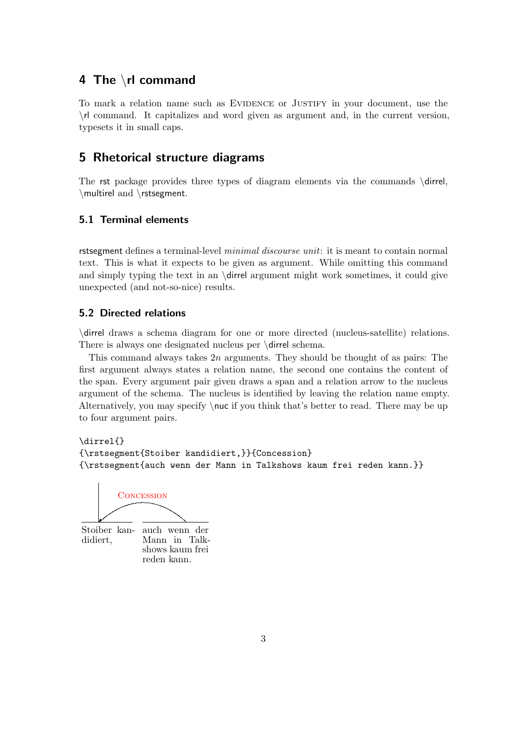# 4 The \rl command

To mark a relation name such as EVIDENCE or JUSTIFY in your document, use the \rl command. It capitalizes and word given as argument and, in the current version, typesets it in small caps.

# 5 Rhetorical structure diagrams

The rst package provides three types of diagram elements via the commands \dirrel, \multirel and \rstsegment.

### 5.1 Terminal elements

rstsegment defines a terminal-level *minimal discourse unit*: it is meant to contain normal text. This is what it expects to be given as argument. While omitting this command and simply typing the text in an  $\dagger$  dirrel argument might work sometimes, it could give unexpected (and not-so-nice) results.

### 5.2 Directed relations

\dirrel draws a schema diagram for one or more directed (nucleus-satellite) relations. There is always one designated nucleus per \dirrel schema.

This command always takes 2n arguments. They should be thought of as pairs: The first argument always states a relation name, the second one contains the content of the span. Every argument pair given draws a span and a relation arrow to the nucleus argument of the schema. The nucleus is identified by leaving the relation name empty. Alternatively, you may specify  $\nu c$  if you think that's better to read. There may be up to four argument pairs.

\dirrel{} {\rstsegment{Stoiber kandidiert,}}{Concession} {\rstsegment{auch wenn der Mann in Talkshows kaum frei reden kann.}}



Stoiber kandidiert,

auch wenn der Mann in Talkshows kaum frei reden kann.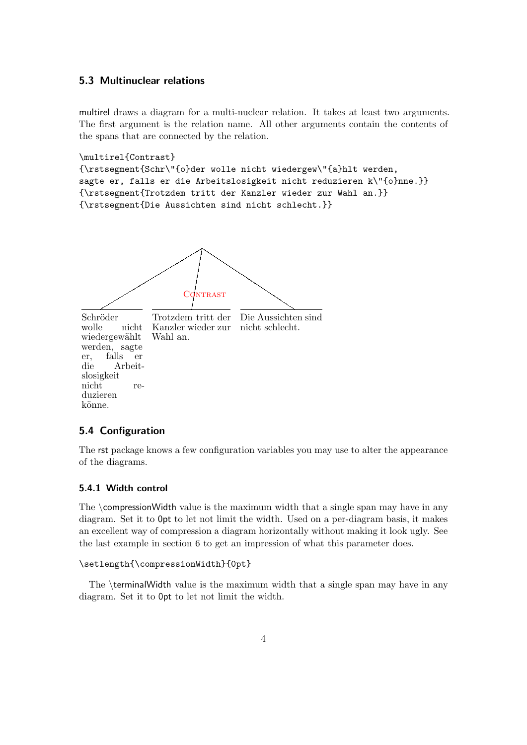### 5.3 Multinuclear relations

multirel draws a diagram for a multi-nuclear relation. It takes at least two arguments. The first argument is the relation name. All other arguments contain the contents of the spans that are connected by the relation.

```
\multirel{Contrast}
```

```
{\rstsegment{Schr\"{o}der wolle nicht wiedergew\"{a}hlt werden,
sagte er, falls er die Arbeitslosigkeit nicht reduzieren k\"{o}nne.}}
{\rstsegment{Trotzdem tritt der Kanzler wieder zur Wahl an.}}
{\rstsegment{Die Aussichten sind nicht schlecht.}}
```


### 5.4 Configuration

The rst package knows a few configuration variables you may use to alter the appearance of the diagrams.

#### 5.4.1 Width control

The  $\complement$  compression Width value is the maximum width that a single span may have in any diagram. Set it to 0pt to let not limit the width. Used on a per-diagram basis, it makes an excellent way of compression a diagram horizontally without making it look ugly. See the last example in section 6 to get an impression of what this parameter does.

```
\setlength{\compressionWidth}{0pt}
```
The \terminalWidth value is the maximum width that a single span may have in any diagram. Set it to 0pt to let not limit the width.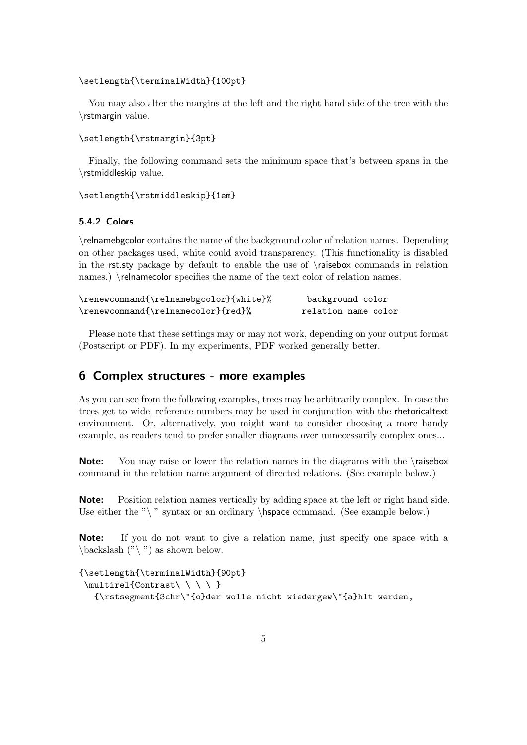#### \setlength{\terminalWidth}{100pt}

You may also alter the margins at the left and the right hand side of the tree with the \rstmargin value.

```
\setlength{\rstmargin}{3pt}
```
Finally, the following command sets the minimum space that's between spans in the \rstmiddleskip value.

```
\setlength{\rstmiddleskip}{1em}
```
### 5.4.2 Colors

\relnamebgcolor contains the name of the background color of relation names. Depending on other packages used, white could avoid transparency. (This functionality is disabled in the rst.sty package by default to enable the use of \raisebox commands in relation names.) \relnamecolor specifies the name of the text color of relation names.

| \renewcommand{\relnamebgcolor}{white}% | background color    |
|----------------------------------------|---------------------|
| \renewcommand{\relnamecolor}{red}%     | relation name color |

Please note that these settings may or may not work, depending on your output format (Postscript or PDF). In my experiments, PDF worked generally better.

## 6 Complex structures - more examples

As you can see from the following examples, trees may be arbitrarily complex. In case the trees get to wide, reference numbers may be used in conjunction with the rhetoricaltext environment. Or, alternatively, you might want to consider choosing a more handy example, as readers tend to prefer smaller diagrams over unnecessarily complex ones...

Note: You may raise or lower the relation names in the diagrams with the \raisebox command in the relation name argument of directed relations. (See example below.)

Note: Position relation names vertically by adding space at the left or right hand side. Use either the " $\setminus$ " syntax or an ordinary  $\hbox{\textbackslash}$  space command. (See example below.)

Note: If you do not want to give a relation name, just specify one space with a  $\backslash$ backslash  $(\gamma \backslash \mathfrak{m})$  as shown below.

```
{\setlength{\terminalWidth}{90pt}
 \mathcal{C} \multirel{Contrast\ \ \ \ }
   {\rstsegment{Schr\"{o}der wolle nicht wiedergew\"{a}hlt werden,
```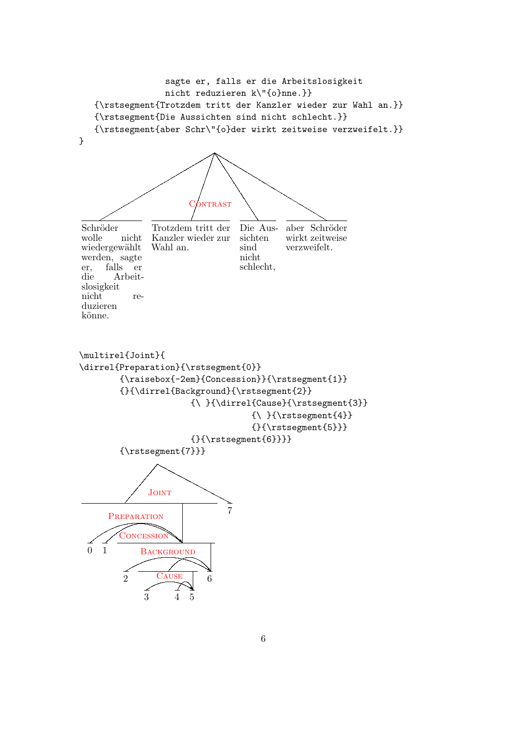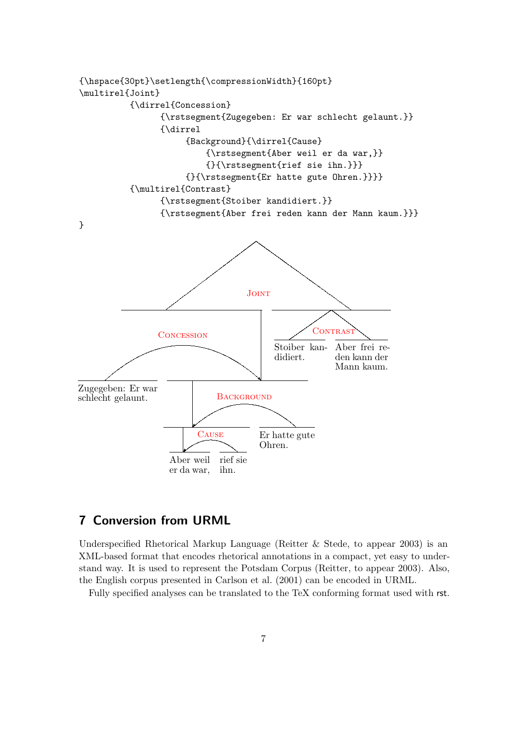

# 7 Conversion from URML

Underspecified Rhetorical Markup Language (Reitter & Stede, to appear 2003) is an XML-based format that encodes rhetorical annotations in a compact, yet easy to understand way. It is used to represent the Potsdam Corpus (Reitter, to appear 2003). Also, the English corpus presented in Carlson et al. (2001) can be encoded in URML.

Fully specified analyses can be translated to the TeX conforming format used with rst.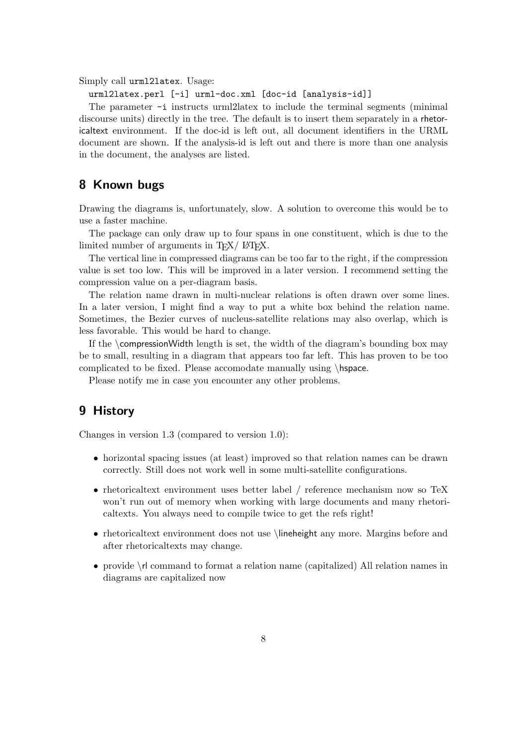Simply call urml2latex. Usage:

urml2latex.perl [-i] urml-doc.xml [doc-id [analysis-id]]

The parameter -i instructs urml2latex to include the terminal segments (minimal discourse units) directly in the tree. The default is to insert them separately in a rhetoricaltext environment. If the doc-id is left out, all document identifiers in the URML document are shown. If the analysis-id is left out and there is more than one analysis in the document, the analyses are listed.

## 8 Known bugs

Drawing the diagrams is, unfortunately, slow. A solution to overcome this would be to use a faster machine.

The package can only draw up to four spans in one constituent, which is due to the limited number of arguments in  $T_F X / \mu T_F X$ .

The vertical line in compressed diagrams can be too far to the right, if the compression value is set too low. This will be improved in a later version. I recommend setting the compression value on a per-diagram basis.

The relation name drawn in multi-nuclear relations is often drawn over some lines. In a later version, I might find a way to put a white box behind the relation name. Sometimes, the Bezier curves of nucleus-satellite relations may also overlap, which is less favorable. This would be hard to change.

If the \compressionWidth length is set, the width of the diagram's bounding box may be to small, resulting in a diagram that appears too far left. This has proven to be too complicated to be fixed. Please accomodate manually using \hspace.

Please notify me in case you encounter any other problems.

## 9 History

Changes in version 1.3 (compared to version 1.0):

- horizontal spacing issues (at least) improved so that relation names can be drawn correctly. Still does not work well in some multi-satellite configurations.
- rhetoricaltext environment uses better label / reference mechanism now so TeX won't run out of memory when working with large documents and many rhetoricaltexts. You always need to compile twice to get the refs right!
- rhetoricaltext environment does not use \lineheight any more. Margins before and after rhetoricaltexts may change.
- provide \rl command to format a relation name (capitalized) All relation names in diagrams are capitalized now